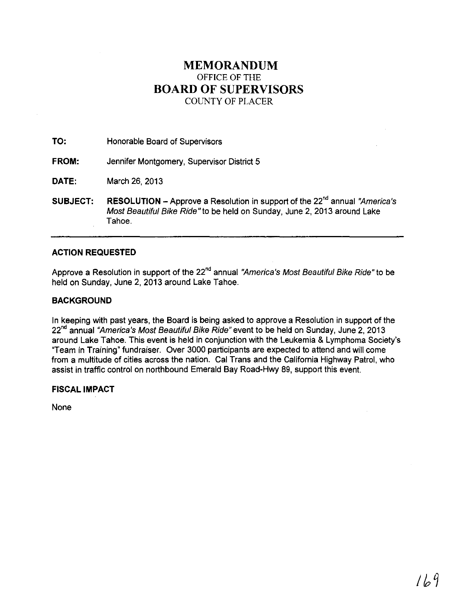## **MEMORANDUM** OFFICE OF THE **BOARD OF SUPERVISORS** COUNTY OF PLACER

**TO:** Honorable Board of Supervisors

**FROM:** Jennifer Montgomery, Supervisor District 5

**DATE:** March 26,2013

**SUBJECT: RESOLUTION** – Approve a Resolution in support of the 22<sup>nd</sup> annual "America's Most Beautiful Bike Ride" to be held on Sunday, June 2,2013 around Lake Tahoe.

## **ACTION REQUESTED**

Approve a Resolution in support of the 22<sup>nd</sup> annual "America's Most Beautiful Bike Ride" to be held on Sunday, June 2, 2013 around Lake Tahoe.

## **BACKGROUND**

In keeping with past years, the Board is being asked to approve a Resolution in support of the 22<sup>nd</sup> annual "America's Most Beautiful Bike Ride" event to be held on Sunday, June 2, 2013 around Lake Tahoe. This event is held in conjunction with the Leukemia & Lymphoma Society's "Team in Training" fundraiser. Over 3000 participants are expected to attend and will come from a multitude of cities across the nation. Cal Trans and the California Highway Patrol, who assist in traffic control on northbound Emerald Bay Road-Hwy 89, support this event.

**FISCAL IMPACT**

None